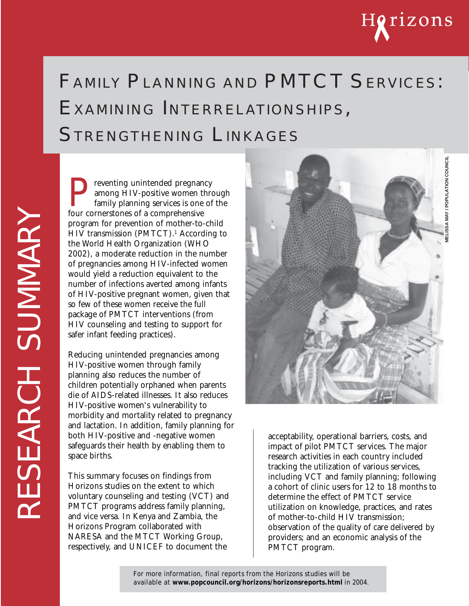

# FAMILY PLANNING AND PMTCT SERVICES: EXAMINING INTERRELATIONSHIPS, STRENGTHENING LINKAGES

Preventing unintended pregnancy<br>among HIV-positive women thro<br>family planning services is one of<br>four cornerstones of a comprehensive among HIV-positive women through family planning services is one of the four cornerstones of a comprehensive program for prevention of mother-to-child HIV transmission (PMTCT).1 According to the World Health Organization (WHO 2002), a moderate reduction in the number of pregnancies among HIV-infected women would yield a reduction equivalent to the number of infections averted among infants of HIV-positive pregnant women, given that so few of these women receive the full package of PMTCT interventions (from HIV counseling and testing to support for safer infant feeding practices).

Reducing unintended pregnancies among HIV-positive women through family planning also reduces the number of children potentially orphaned when parents die of AIDS-related illnesses. It also reduces HIV-positive women's vulnerability to morbidity and mortality related to pregnancy and lactation. In addition, family planning for both HIV-positive and -negative women safeguards their health by enabling them to space births.

This summary focuses on findings from Horizons studies on the extent to which voluntary counseling and testing (VCT) and PMTCT programs address family planning, and vice versa. In Kenya and Zambia, the Horizons Program collaborated with NARESA and the MTCT Working Group, respectively, and UNICEF to document the



acceptability, operational barriers, costs, and impact of pilot PMTCT services. The major research activities in each country included tracking the utilization of various services, including VCT and family planning; following a cohort of clinic users for 12 to 18 months to determine the effect of PMTCT service utilization on knowledge, practices, and rates of mother-to-child HIV transmission; observation of the quality of care delivered by providers; and an economic analysis of the PMTCT program.

For more information, final reports from the Horizons studies will be available at **www.popcouncil.org/horizons/horizonsreports.html** in 2004.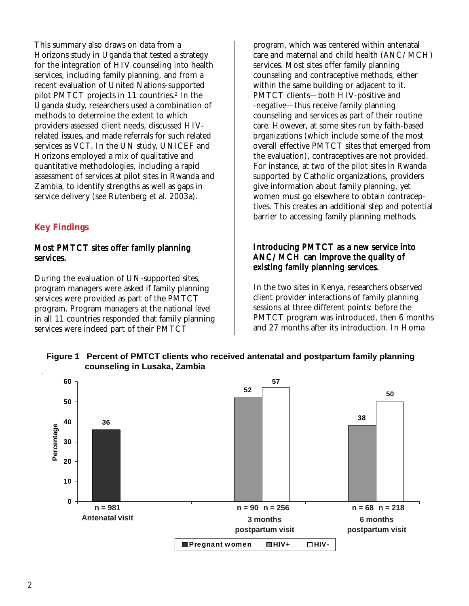This summary also draws on data from a Horizons study in Uganda that tested a strategy for the integration of HIV counseling into health services, including family planning, and from a recent evaluation of United Nations-supported pilot PMTCT projects in 11 countries.<sup>2</sup> In the Uganda study, researchers used a combination of methods to determine the extent to which providers assessed client needs, discussed HIVrelated issues, and made referrals for such related services as VCT. In the UN study, UNICEF and Horizons employed a mix of qualitative and quantitative methodologies, including a rapid assessment of services at pilot sites in Rwanda and Zambia, to identify strengths as well as gaps in service delivery (see Rutenberg et al. 2003a).

## **Key Findings**

#### Most PMTCT sites offer family planning services.

During the evaluation of UN-supported sites, program managers were asked if family planning services were provided as part of the PMTCT program. Program managers at the national level in all 11 countries responded that family planning services were indeed part of their PMTCT

program, which was centered within antenatal care and maternal and child health (ANC/MCH) services. Most sites offer family planning counseling and contraceptive methods, either within the same building or adjacent to it. PMTCT clients—both HIV-positive and -negative—thus receive family planning counseling and services as part of their routine care. However, at some sites run by faith-based organizations (which include some of the most overall effective PMTCT sites that emerged from the evaluation), contraceptives are not provided. For instance, at two of the pilot sites in Rwanda supported by Catholic organizations, providers give information about family planning, yet women must go elsewhere to obtain contraceptives. This creates an additional step and potential barrier to accessing family planning methods.

### Introducing PMTCT as a new service into ANC/MCH can improve the quality of existing family planning services.

In the two sites in Kenya, researchers observed client provider interactions of family planning sessions at three different points: before the PMTCT program was introduced, then 6 months and 27 months after its introduction. In Homa



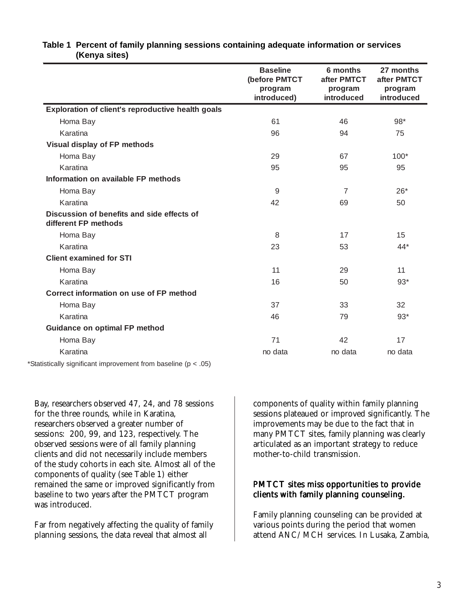|                                                                    | <b>Baseline</b><br>(before PMTCT<br>program<br>introduced) | 6 months<br>after PMTCT<br>program<br>introduced | 27 months<br>after PMTCT<br>program<br>introduced |
|--------------------------------------------------------------------|------------------------------------------------------------|--------------------------------------------------|---------------------------------------------------|
| Exploration of client's reproductive health goals                  |                                                            |                                                  |                                                   |
| Homa Bay                                                           | 61                                                         | 46                                               | 98*                                               |
| Karatina                                                           | 96                                                         | 94                                               | 75                                                |
| Visual display of FP methods                                       |                                                            |                                                  |                                                   |
| Homa Bay                                                           | 29                                                         | 67                                               | $100*$                                            |
| Karatina                                                           | 95                                                         | 95                                               | 95                                                |
| Information on available FP methods                                |                                                            |                                                  |                                                   |
| Homa Bay                                                           | 9                                                          | 7                                                | $26*$                                             |
| Karatina                                                           | 42                                                         | 69                                               | 50                                                |
| Discussion of benefits and side effects of<br>different FP methods |                                                            |                                                  |                                                   |
| Homa Bay                                                           | 8                                                          | 17                                               | 15                                                |
| Karatina                                                           | 23                                                         | 53                                               | $44*$                                             |
| <b>Client examined for STI</b>                                     |                                                            |                                                  |                                                   |
| Homa Bay                                                           | 11                                                         | 29                                               | 11                                                |
| Karatina                                                           | 16                                                         | 50                                               | $93*$                                             |
| Correct information on use of FP method                            |                                                            |                                                  |                                                   |
| Homa Bay                                                           | 37                                                         | 33                                               | 32                                                |
| Karatina                                                           | 46                                                         | 79                                               | $93*$                                             |
| <b>Guidance on optimal FP method</b>                               |                                                            |                                                  |                                                   |
| Homa Bay                                                           | 71                                                         | 42                                               | 17                                                |
| Karatina                                                           | no data                                                    | no data                                          | no data                                           |
| *Statistically significant improvement from baseline ( $p < .05$ ) |                                                            |                                                  |                                                   |

#### **Table 1 Percent of family planning sessions containing adequate information or services (Kenya sites)**

Bay, researchers observed 47, 24, and 78 sessions for the three rounds, while in Karatina, researchers observed a greater number of sessions: 200, 99, and 123, respectively. The observed sessions were of all family planning clients and did not necessarily include members of the study cohorts in each site. Almost all of the components of quality (see Table 1) either remained the same or improved significantly from baseline to two years after the PMTCT program was introduced.

Far from negatively affecting the quality of family planning sessions, the data reveal that almost all

components of quality within family planning sessions plateaued or improved significantly. The improvements may be due to the fact that in many PMTCT sites, family planning was clearly articulated as an important strategy to reduce mother-to-child transmission.

#### PMTCT sites miss opportunities to provide clients with family planning counseling.

Family planning counseling can be provided at various points during the period that women attend ANC/MCH services. In Lusaka, Zambia,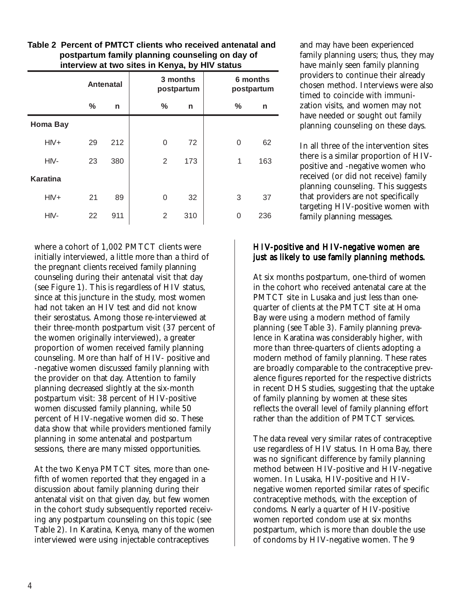|                 | <b>Antenatal</b> |     | 3 months<br>postpartum |     | 6 months<br>postpartum |     |
|-----------------|------------------|-----|------------------------|-----|------------------------|-----|
|                 | $\%$             | n   | $\frac{0}{0}$          | n   | %                      | n   |
| <b>Homa Bay</b> |                  |     |                        |     |                        |     |
| $HIV+$          | 29               | 212 | 0                      | 72  | 0                      | 62  |
| HIV-            | 23               | 380 | 2                      | 173 | 1                      | 163 |
| <b>Karatina</b> |                  |     |                        |     |                        |     |
| $HIV+$          | 21               | 89  | 0                      | 32  | 3                      | 37  |
| HIV-            | 22               | 911 | 2                      | 310 | $\Omega$               | 236 |

**Table 2 Percent of PMTCT clients who received antenatal and postpartum family planning counseling on day of interview at two sites in Kenya, by HIV status**

where a cohort of 1,002 PMTCT clients were initially interviewed, a little more than a third of the pregnant clients received family planning counseling during their antenatal visit that day (see Figure 1). This is regardless of HIV status, since at this juncture in the study, most women had not taken an HIV test and did not know their serostatus. Among those re-interviewed at their three-month postpartum visit (37 percent of the women originally interviewed), a greater proportion of women received family planning counseling. More than half of HIV- positive and -negative women discussed family planning with the provider on that day. Attention to family planning decreased slightly at the six-month postpartum visit: 38 percent of HIV-positive women discussed family planning, while 50 percent of HIV-negative women did so. These data show that while providers mentioned family planning in some antenatal and postpartum sessions, there are many missed opportunities.

At the two Kenya PMTCT sites, more than onefifth of women reported that they engaged in a discussion about family planning during their antenatal visit on that given day, but few women in the cohort study subsequently reported receiving any postpartum counseling on this topic (see Table 2). In Karatina, Kenya, many of the women interviewed were using injectable contraceptives

and may have been experienced family planning users; thus, they may have mainly seen family planning providers to continue their already chosen method. Interviews were also timed to coincide with immunization visits, and women may not have needed or sought out family planning counseling on these days.

In all three of the intervention sites there is a similar proportion of HIVpositive and -negative women who received (or did not receive) family planning counseling. This suggests that providers are not specifically targeting HIV-positive women with family planning messages.

#### HIV-positive and HIV-negative women are just as likely to use family planning methods.

At six months postpartum, one-third of women in the cohort who received antenatal care at the PMTCT site in Lusaka and just less than onequarter of clients at the PMTCT site at Homa Bay were using a modern method of family planning (see Table 3). Family planning prevalence in Karatina was considerably higher, with more than three-quarters of clients adopting a modern method of family planning. These rates are broadly comparable to the contraceptive prevalence figures reported for the respective districts in recent DHS studies, suggesting that the uptake of family planning by women at these sites reflects the overall level of family planning effort rather than the addition of PMTCT services.

The data reveal very similar rates of contraceptive use regardless of HIV status. In Homa Bay, there was no significant difference by family planning method between HIV-positive and HIV-negative women. In Lusaka, HIV-positive and HIVnegative women reported similar rates of specific contraceptive methods, with the exception of condoms. Nearly a quarter of HIV-positive women reported condom use at six months postpartum, which is more than double the use of condoms by HIV-negative women. The 9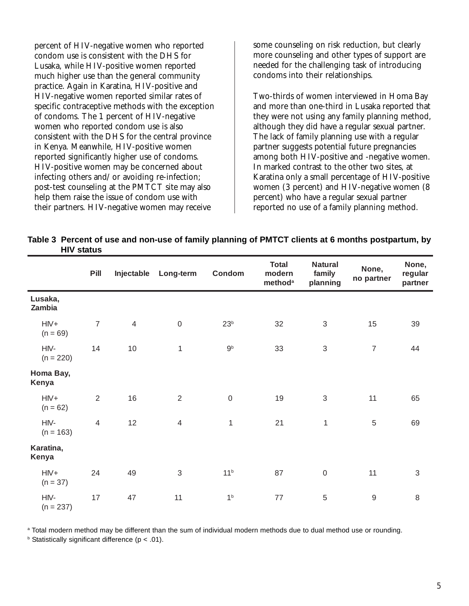percent of HIV-negative women who reported condom use is consistent with the DHS for Lusaka, while HIV-positive women reported much higher use than the general community practice. Again in Karatina, HIV-positive and HIV-negative women reported similar rates of specific contraceptive methods with the exception of condoms. The 1 percent of HIV-negative women who reported condom use is also consistent with the DHS for the central province in Kenya. Meanwhile, HIV-positive women reported significantly higher use of condoms. HIV-positive women may be concerned about infecting others and/or avoiding re-infection; post-test counseling at the PMTCT site may also help them raise the issue of condom use with their partners. HIV-negative women may receive

some counseling on risk reduction, but clearly more counseling and other types of support are needed for the challenging task of introducing condoms into their relationships.

Two-thirds of women interviewed in Homa Bay and more than one-third in Lusaka reported that they were not using any family planning method, although they did have a regular sexual partner. The lack of family planning use with a regular partner suggests potential future pregnancies among both HIV-positive and -negative women. In marked contrast to the other two sites, at Karatina only a small percentage of HIV-positive women (3 percent) and HIV-negative women (8 percent) who have a regular sexual partner reported no use of a family planning method.

| Table 3 Percent of use and non-use of family planning of PMTCT clients at 6 months postpartum, by |  |  |
|---------------------------------------------------------------------------------------------------|--|--|
| <b>HIV</b> status                                                                                 |  |  |

|                     | Pill           | Injectable     | Long-term                 | Condom          | <b>Total</b><br>modern<br>method <sup>a</sup> | <b>Natural</b><br>family<br>planning | None,<br>no partner | None,<br>regular<br>partner |
|---------------------|----------------|----------------|---------------------------|-----------------|-----------------------------------------------|--------------------------------------|---------------------|-----------------------------|
| Lusaka,<br>Zambia   |                |                |                           |                 |                                               |                                      |                     |                             |
| $HN+$<br>$(n = 69)$ | $\overline{7}$ | $\overline{4}$ | $\mathbf 0$               | 23 <sup>b</sup> | 32                                            | $\sqrt{3}$                           | 15                  | 39                          |
| HIV-<br>$(n = 220)$ | 14             | 10             | $\mathbf 1$               | 9 <sup>b</sup>  | 33                                            | $\mathfrak{S}$                       | $\overline{7}$      | 44                          |
| Homa Bay,<br>Kenya  |                |                |                           |                 |                                               |                                      |                     |                             |
| $HN+$<br>$(n = 62)$ | $\overline{2}$ | 16             | $\overline{2}$            | $\mathbf 0$     | 19                                            | $\sqrt{3}$                           | 11                  | 65                          |
| HIV-<br>$(n = 163)$ | $\overline{4}$ | 12             | $\overline{4}$            | $\mathbf{1}$    | 21                                            | $\mathbf{1}$                         | $\sqrt{5}$          | 69                          |
| Karatina,<br>Kenya  |                |                |                           |                 |                                               |                                      |                     |                             |
| $HN+$<br>$(n = 37)$ | 24             | 49             | $\ensuremath{\mathsf{3}}$ | 11 <sup>b</sup> | 87                                            | $\boldsymbol{0}$                     | 11                  | $\ensuremath{\mathsf{3}}$   |
| HIV-<br>$(n = 237)$ | 17             | 47             | 11                        | 1 <sup>b</sup>  | $77 \,$                                       | 5                                    | $\boldsymbol{9}$    | 8                           |

a Total modern method may be different than the sum of individual modern methods due to dual method use or rounding.

 $b$  Statistically significant difference ( $p < .01$ ).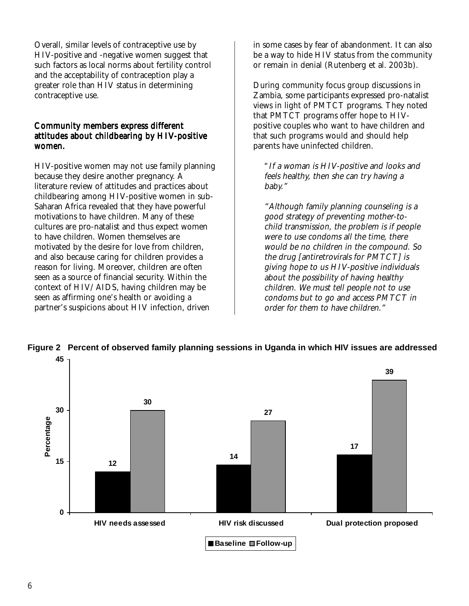Overall, similar levels of contraceptive use by HIV-positive and -negative women suggest that such factors as local norms about fertility control and the acceptability of contraception play a greater role than HIV status in determining contraceptive use.

#### Community members express different attitudes about childbearing by HIV-positive women.

HIV-positive women may not use family planning because they desire another pregnancy. A literature review of attitudes and practices about childbearing among HIV-positive women in sub-Saharan Africa revealed that they have powerful motivations to have children. Many of these cultures are pro-natalist and thus expect women to have children. Women themselves are motivated by the desire for love from children, and also because caring for children provides a reason for living. Moreover, children are often seen as a source of financial security. Within the context of HIV/AIDS, having children may be seen as affirming one's health or avoiding a partner's suspicions about HIV infection, driven

in some cases by fear of abandonment. It can also be a way to hide HIV status from the community or remain in denial (Rutenberg et al. 2003b).

During community focus group discussions in Zambia, some participants expressed pro-natalist views in light of PMTCT programs. They noted that PMTCT programs offer hope to HIVpositive couples who want to have children and that such programs would and should help parents have uninfected children.

"If a woman is HIV-positive and looks and feels healthy, then she can try having a baby."

"Although family planning counseling is a good strategy of preventing mother-tochild transmission, the problem is if people were to use condoms all the time, there would be no children in the compound. So the drug [antiretrovirals for PMTCT] is giving hope to us HIV-positive individuals about the possibility of having healthy children. We must tell people not to use condoms but to go and access PMTCT in order for them to have children."



**Figure 2 Percent of observed family planning sessions in Uganda in which HIV issues are addressed**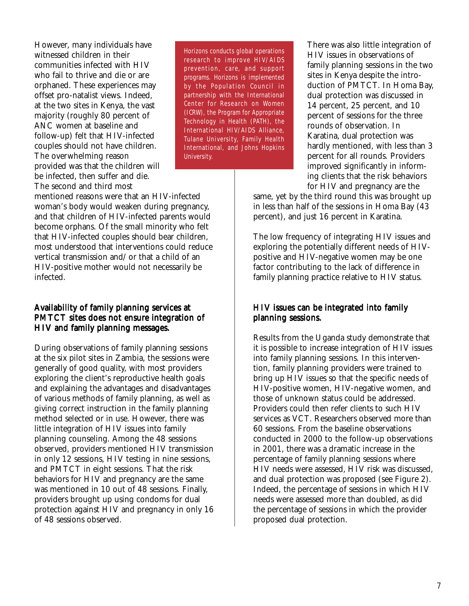However, many individuals have witnessed children in their communities infected with HIV who fail to thrive and die or are orphaned. These experiences may offset pro-natalist views. Indeed, at the two sites in Kenya, the vast majority (roughly 80 percent of ANC women at baseline and follow-up) felt that HIV-infected couples should not have children. The overwhelming reason provided was that the children will be infected, then suffer and die. The second and third most

Horizons conducts global operations research to improve HIV/AIDS prevention, care, and support programs. Horizons is implemented by the Population Council in partnership with the International Center for Research on Women (ICRW), the Program for Appropriate Technology in Health (PATH), the International HIV/AIDS Alliance, Tulane University, Family Health International, and Johns Hopkins University.

mentioned reasons were that an HIV-infected woman's body would weaken during pregnancy, and that children of HIV-infected parents would become orphans. Of the small minority who felt that HIV-infected couples should bear children, most understood that interventions could reduce vertical transmission and/or that a child of an HIV-positive mother would not necessarily be infected.

#### Availability of family planning services at PMTCT sites does not ensure integration of HIV and family planning messages.

During observations of family planning sessions at the six pilot sites in Zambia, the sessions were generally of good quality, with most providers exploring the client's reproductive health goals and explaining the advantages and disadvantages of various methods of family planning, as well as giving correct instruction in the family planning method selected or in use. However, there was little integration of HIV issues into family planning counseling. Among the 48 sessions observed, providers mentioned HIV transmission in only 12 sessions, HIV testing in nine sessions, and PMTCT in eight sessions. That the risk behaviors for HIV and pregnancy are the same was mentioned in 10 out of 48 sessions. Finally, providers brought up using condoms for dual protection against HIV and pregnancy in only 16 of 48 sessions observed.

There was also little integration of HIV issues in observations of family planning sessions in the two sites in Kenya despite the introduction of PMTCT. In Homa Bay, dual protection was discussed in 14 percent, 25 percent, and 10 percent of sessions for the three rounds of observation. In Karatina, dual protection was hardly mentioned, with less than 3 percent for all rounds. Providers improved significantly in informing clients that the risk behaviors for HIV and pregnancy are the

same, yet by the third round this was brought up in less than half of the sessions in Homa Bay (43 percent), and just 16 percent in Karatina.

The low frequency of integrating HIV issues and exploring the potentially different needs of HIVpositive and HIV-negative women may be one factor contributing to the lack of difference in family planning practice relative to HIV status.

#### HIV issues can be integrated into family planning sessions.

Results from the Uganda study demonstrate that it is possible to increase integration of HIV issues into family planning sessions. In this intervention, family planning providers were trained to bring up HIV issues so that the specific needs of HIV-positive women, HIV-negative women, and those of unknown status could be addressed. Providers could then refer clients to such HIV services as VCT. Researchers observed more than 60 sessions. From the baseline observations conducted in 2000 to the follow-up observations in 2001, there was a dramatic increase in the percentage of family planning sessions where HIV needs were assessed, HIV risk was discussed, and dual protection was proposed (see Figure 2). Indeed, the percentage of sessions in which HIV needs were assessed more than doubled, as did the percentage of sessions in which the provider proposed dual protection.